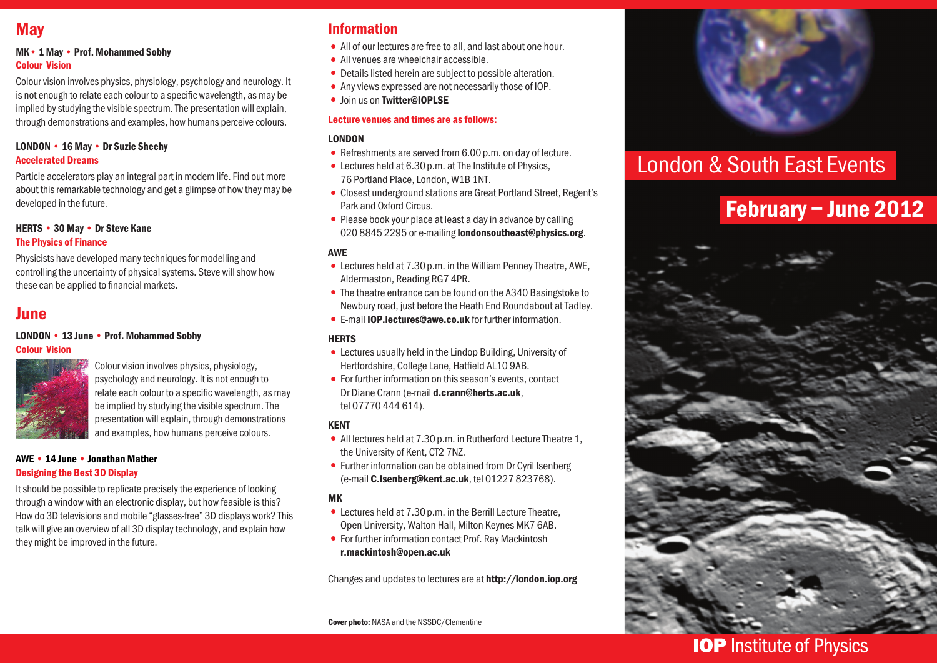## **May**

#### MK• 1 May • Prof. Mohammed Sobhy Colour Vision

Colour vision involves physics, physiology, psychology and neurology. It is not enough to relate each colour to a specific wavelength, as may be implied by studying the visible spectrum. The presentation will explain, through demonstrations and examples, how humans perceive colours.

#### LONDON • 16 May • Dr Suzie Sheehy Accelerated Dreams

Particle accelerators play an integral part in modern life. Find out more about this remarkable technology and get a glimpse of how they may be developed in the future.

#### HERTS • 30 May • Dr Steve Kane The Physics of Finance

Physicists have developed many techniques for modelling and controlling the uncertainty of physical systems. Steve will show how these can be applied to financial markets.

## **June**

#### LONDON • 13 June • Prof. Mohammed Sobhy Colour Vision



Colour vision involves physics, physiology, psychology and neurology. It is not enough to relate each colour to a specific wavelength, as may be implied by studying the visible spectrum. The presentation will explain, through demonstrations and examples, how humans perceive colours.

#### AWE • 14 June • Jonathan Mather Designing the Best 3D Display

It should be possible to replicate precisely the experience of looking through a window with an electronic display, but how feasible is this? How do 3D televisions and mobile "glasses-free" 3D displays work? This talk will give an overview of all 3D display technology, and explain how they might be improved in the future.

### Information

- All of our lectures are free to all, and last about one hour.
- •All venues are wheelchair accessible.
- •Details listed herein are subject to possible alteration.
- •Any views expressed are not necessarily those of IOP.
- **•** Ioin us on Twitter@IOPLSE

#### Lecture venues and times are as follows:

#### LONDON

- Refreshments are served from 6.00 p.m. on day of lecture.
- Lectures held at 6.30 p.m. at The Institute of Physics, 76 Portland Place, London, W1B 1NT.
- •Closest underground stations are Great Portland Street, Regent's Park and Oxford Circus.
- Please book your place at least a day in advance by calling 020 8845 2295 or e-mailing londonsoutheast@physics.org.

#### AWE

- •Lectures held at 7.30p.m. in the William Penney Theatre, AWE, Aldermaston, Reading RG7 4PR.
- The theatre entrance can be found on the A340 Basingstoke to Newbury road, just before the Heath End Roundabout at Tadley.
- •E-mail IOP.lectures@awe.co.uk for further information.

#### **HERTS**

- •Lectures usually held in the Lindop Building, University of Hertfordshire, College Lane, Hatfield AL10 9AB.
- •For further information on this season's events, contact Dr Diane Crann (e-mail d.crann@herts.ac.uk, tel 07770 444 614).

#### KENT

- All lectures held at 7.30 p.m. in Rutherford Lecture Theatre 1, the University of Kent, CT2 7NZ.
- Further information can be obtained from Dr Cyril Isenberg (e-mail C.Isenberg@kent.ac.uk, tel 01227 823768).

#### MK

- •Lectures held at 7.30p.m. in the Berrill Lecture Theatre, Open University, Walton Hall, Milton Keynes MK7 6AB.
- •For further information contact Prof. Ray Mackintosh r.mackintosh@open.ac.uk

Changes and updates to lectures are at http://london.iop.org

Cover photo: NASA and the NSSDC/Clementine



# London & South East Events

# February – June 2012



## **IOP** Institute of Physics